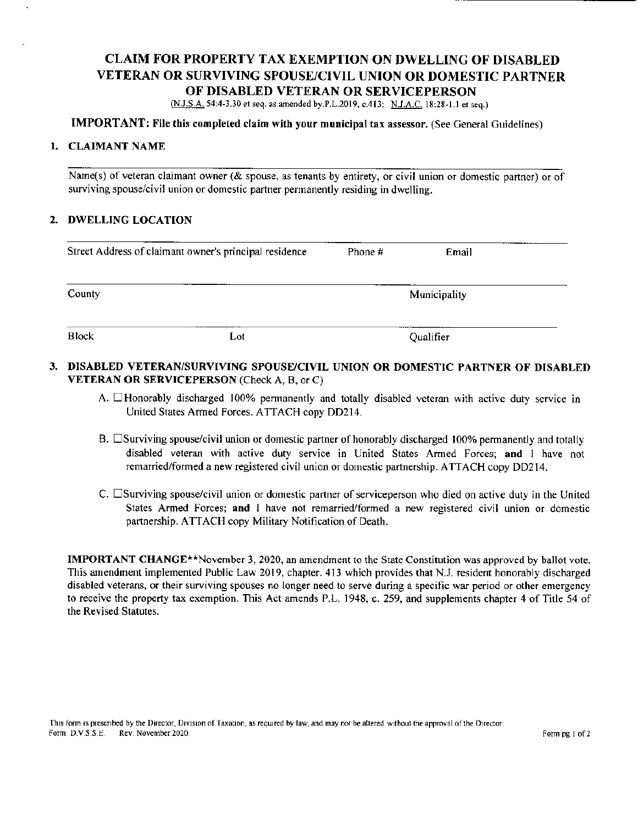# CLAIM FOR PROPERTY TAX EXEMPTION ON DWELLING OF DISABLED VETERAN OR SURVIVING SPOUSE/CIVIL UNION OR DOMESTIC PARTNER OF DISABLED VETERAN OR SERVICEPERSON

(N.J.S.A. 54: 4- 3. 30 et seq. as amended by.P.L. 2019, c. 413; N.J.A.C. 18: 28-1. 1 et seq.)

## IMPORTANT: File this completed claim with your municipal tax assessor.( See General Guidelines)

#### 1. CLAIMANT NAME

Name(s) of veteran claimant owner ( $\&$  spouse, as tenants by entirety, or civil union or domestic partner) or of surviving spouse/civil union or domestic partner permanently residing in dwelling.

#### 2. DWELLING LOCATION

| Street Address of claimant owner's principal residence |     | Phone # | Email        |  |
|--------------------------------------------------------|-----|---------|--------------|--|
| County                                                 |     |         | Municipality |  |
| <b>Block</b>                                           | Lot |         | Qualifier    |  |

### 3. DISABLED VETERAN/SURVIVING SPOUSE/CIVIL UNION OR DOMESTIC PARTNER OF DISABLED VETERAN OR SERVICEPERSON (Check A, B, or C)

- A.  $\Box$  Honorably discharged 100% permanently and totally disabled veteran with active duty service in United States Armed Forces. ATTACH copy DD214.
- B. Surviving spouse/civil union or domestic partner of honorably discharged 100% permanently and totally disabled veteran with active duty service in United States Armed Forces; and <sup>I</sup> have not remarried/ formed a new registered civil union or domestic partnership. ATTACH copy DD214.
- C.  $\square$  Surviving spouse/civil union or domestic partner of serviceperson who died on active duty in the United States Armed Forces; and <sup>I</sup> have not remarried/formed a new registered civil union or domestic partnership. ATTACH copy Military Notification of Death.

IMPORTANT CHANGE\*\* November 3, 2020, an amendment to the State Constitution was approved by ballot vote. This amendment implemented Public Law 2019, chapter. 413 which provides that N. J. resident honorably discharged disabled veterans, or their surviving spouses no longer need to serve during a specific war period or other emergency to receive the property tax exemption. This Act amends P.L. 1948, c. 259, and supplements chapter 4 of Title 54 of the Revised Statutes.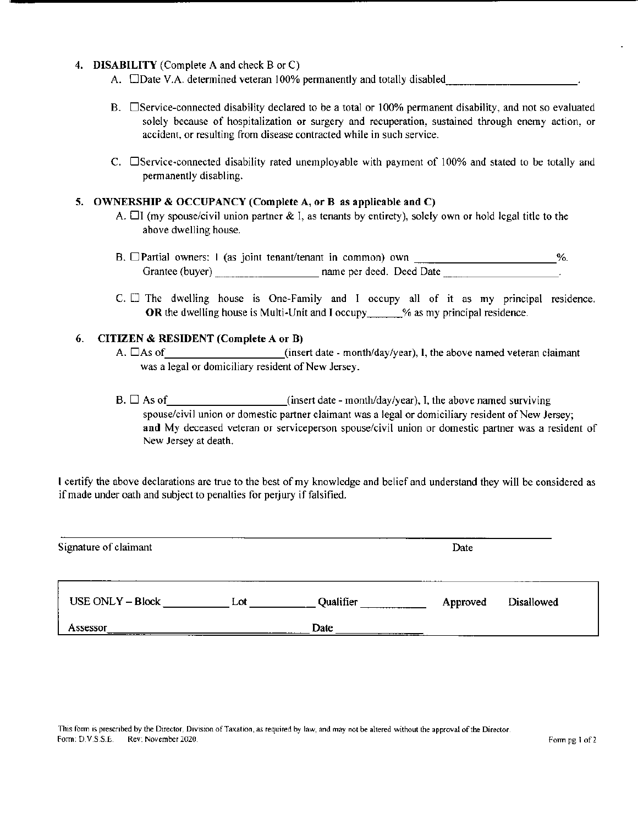### 4. DISABILITY (Complete A and check B or C)

- A.  $\Box$ Date V.A. determined veteran 100% permanently and totally disabled\_\_\_\_\_\_\_\_\_\_\_\_\_\_\_\_\_\_\_\_\_.
- B. Service-connected disability declared to be a total or 100% permanent disability, and not so evaluated solely because of hospitalization or surgery and recuperation. sustained through enemy action, or accident, or resulting from disease contracted while in such service.
- C.  $\square$  Service-connected disability rated unemployable with payment of 100% and stated to be totally and permanently disabling.

#### 5. OWNERSHIP & OCCUPANCY (Complete A, or B as applicable and C)

- A.  $\Box$  (my spouse/civil union partner & I, as tenants by entirety), solely own or hold legal title to the above dwelling house.
- B. OPartial owners: I ( as joint tenant/tenant in common) own  $\%$ . Grantee( buyer) name per deed. Deed Date
- $C.$   $\Box$  The dwelling house is One-Family and I occupy all of it as my principal residence. OR the dwelling house is Multi-Unit and I occupy \_\_\_\_\_% as my principal residence.

### 6. CITIZEN & RESIDENT (Complete A or B)

- A.  $\Box$  As of  $\Box$  insert date month/day/year), I, the above named veteran claimant was <sup>a</sup> legal or domiciliary resident of New Jersey.
- $B. \Box$  As of insert date month/day/year), I, the above named surviving spouse/civil union or domestic partner claimant was a legal or domiciliary resident of New Jersey; and My deceased veteran or serviceperson spouse/civil union or domestic partner was a resident of New Jersey at death.

<sup>I</sup> certify the above declarations are true to the best of my knowledge and belief and understand they will be considered as if made under oath and subject to penalties for perjury if falsified.

| Signature of claimant |     |           | Date     |            |
|-----------------------|-----|-----------|----------|------------|
| USE ONLY - Block      | Lot | Qualifier | Approved | Disallowed |
| Assessor              |     | Date      |          |            |

This form is prescribed by the Director. Division of Taxation, as required by law, and may not be altered without the approval of the Director. Form: D.V.S.S.E. Rev: November 2020. Form pg 1 of 2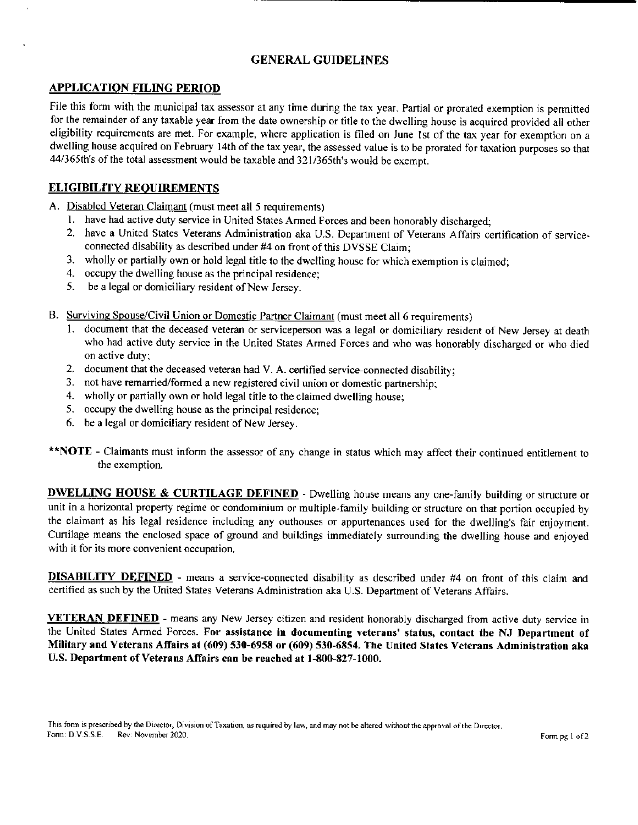# GENERAL GUIDELINES

## APPLICATION FILING PERIOD

File this form with the municipal tax assessor at any time during the tax year. Partial or prorated exemption is permitted for the remainder of any taxable year from the date ownership or title to the dwelling house is acquired provided all other eligibility requirements are met. For example, where application is filed on June 1st of the tax year for exemption on a dwelling house acquired on February 14th of the tax year, the assessed value is to be prorated for taxation purposes so that 44/365th's of the total assessment would be taxable and 321/365th's would be exempt.

## ELIGIBILITY REQUIREMENTS

- A. Disabled Veteran Claimant (must meet all 5 requirements)
	- 1. have had active duty service in United States Armed Forces and been honorably discharged;
	- 2. have a United States Veterans Administration aka U.S. Department of Veterans Affairs certification of serviceconnected disability as described under #4 on front of this DVSSE Claim;
	- 3. wholly or partially own or hold legal title to the dwelling house for which exemption is claimed;
	- 4. occupy the dwelling house as the principal residence;<br>5. be a legal or domiciliary resident of New Jersey.
	- be a legal or domiciliary resident of New Jersey.
- B. Surviving Spouse/Civil Union or Domestic Partner Claimant (must meet all 6 requirements)
	- document that the deceased veteran or serviceperson was a legal or domiciliary resident of New Jersey at death who had active duty service in the United States Armed Forces and who was honorably discharged or who died on active duty;
	- 2. document that the deceased veteran had V. A. certified service-connected disability;
	- 3. not have remarried/formed a new registered civil union or domestic partnership;
	- 4. wholly or partially own or hold legal title to the claimed dwelling house;
	- 5. occupy the dwelling house as the principal residence;
	- 6. be <sup>a</sup> legal or domiciliary resident of New Jersey.
- \*\*NOTE Claimants must inform the assessor of any change in status which may affect their continued entitlement to the exemption.

**DWELLING HOUSE & CURTILAGE DEFINED** - Dwelling house means any one-family building or structure or unit in <sup>a</sup> horizontal property regime or condominium or multiple- family building or structure on that portion occupied by the claimant as his legal residence including any outhouses or appurtenances used for the dwelling's fair enjoyment. Curtilage means the enclosed space of ground and buildings immediately surrounding the dwelling house and enjoyed with it for its more convenient occupation.

DISABILITY DEFINED - means a service-connected disability as described under #4 on front of this claim and certified as such by the United States Veterans Administration aka U.S. Department of Veterans Affairs.

VETERAN DEFINED - means any New Jersey citizen and resident honorably discharged from active duty service in the United States Armed Forces. For assistance in documenting veterans' status, contact the NJ Department of Military and Veterans Affairs at (609) 530-6958 or (609) 530-6854. The United States Veterans Administration aka U.S. Department of Veterans Affairs can be reached at 1-800-827-1000.